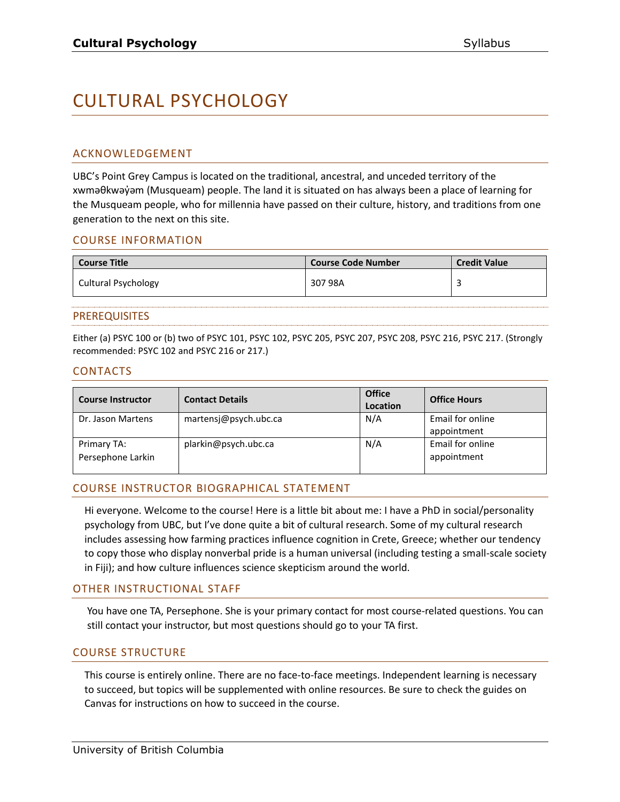# CULTURAL PSYCHOLOGY

## ACKNOWLEDGEMENT

UBC's Point Grey Campus is located on the traditional, ancestral, and unceded territory of the xwməθkwəy̓əm (Musqueam) people. The land it is situated on has always been a place of learning for the Musqueam people, who for millennia have passed on their culture, history, and traditions from one generation to the next on this site.

## COURSE INFORMATION

| <b>Course Title</b> | <b>Course Code Number</b> | <b>Credit Value</b> |
|---------------------|---------------------------|---------------------|
| Cultural Psychology | 307 98A                   |                     |

#### PREREQUISITES

Either (a) PSYC 100 or (b) two of PSYC 101, PSYC 102, PSYC 205, PSYC 207, PSYC 208, PSYC 216, PSYC 217. (Strongly recommended: PSYC 102 and PSYC 216 or 217.)

#### CONTACTS

| <b>Course Instructor</b>         | <b>Contact Details</b> | <b>Office</b><br>Location | <b>Office Hours</b>             |
|----------------------------------|------------------------|---------------------------|---------------------------------|
| Dr. Jason Martens                | martensj@psych.ubc.ca  | N/A                       | Email for online<br>appointment |
| Primary TA:<br>Persephone Larkin | plarkin@psych.ubc.ca   | N/A                       | Email for online<br>appointment |

## COURSE INSTRUCTOR BIOGRAPHICAL STATEMENT

Hi everyone. Welcome to the course! Here is a little bit about me: I have a PhD in social/personality psychology from UBC, but I've done quite a bit of cultural research. Some of my cultural research includes assessing how farming practices influence cognition in Crete, Greece; whether our tendency to copy those who display nonverbal pride is a human universal (including testing a small-scale society in Fiji); and how culture influences science skepticism around the world.

#### OTHER INSTRUCTIONAL STAFF

You have one TA, Persephone. She is your primary contact for most course-related questions. You can still contact your instructor, but most questions should go to your TA first.

## COURSE STRUCTURE

This course is entirely online. There are no face-to-face meetings. Independent learning is necessary to succeed, but topics will be supplemented with online resources. Be sure to check the guides on Canvas for instructions on how to succeed in the course.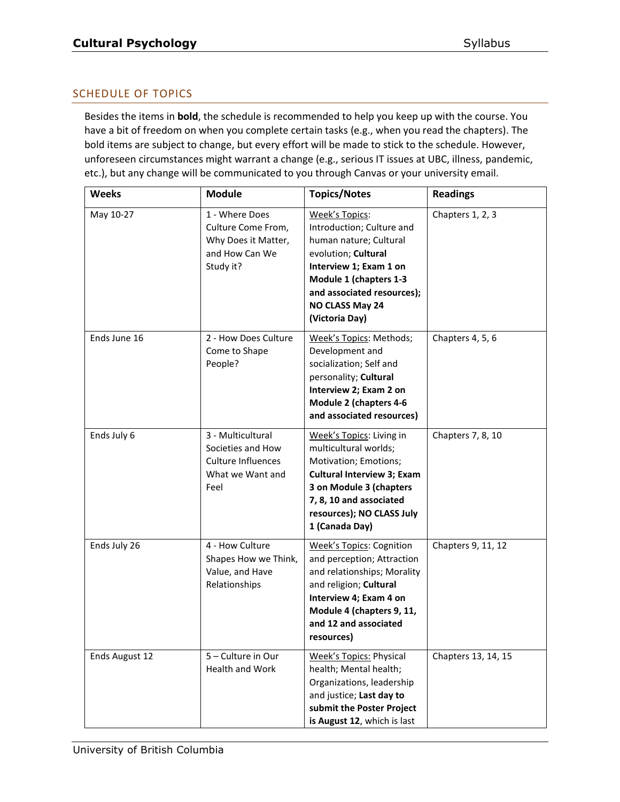# SCHEDULE OF TOPICS

Besides the items in **bold**, the schedule is recommended to help you keep up with the course. You have a bit of freedom on when you complete certain tasks (e.g., when you read the chapters). The bold items are subject to change, but every effort will be made to stick to the schedule. However, unforeseen circumstances might warrant a change (e.g., serious IT issues at UBC, illness, pandemic, etc.), but any change will be communicated to you through Canvas or your university email.

| <b>Weeks</b>   | <b>Module</b>                                                                                   | <b>Topics/Notes</b>                                                                                                                                                                                                  | <b>Readings</b>     |
|----------------|-------------------------------------------------------------------------------------------------|----------------------------------------------------------------------------------------------------------------------------------------------------------------------------------------------------------------------|---------------------|
| May 10-27      | 1 - Where Does<br>Culture Come From,<br>Why Does it Matter,<br>and How Can We<br>Study it?      | Week's Topics:<br>Introduction; Culture and<br>human nature; Cultural<br>evolution; Cultural<br>Interview 1; Exam 1 on<br>Module 1 (chapters 1-3<br>and associated resources);<br>NO CLASS May 24<br>(Victoria Day)  | Chapters 1, 2, 3    |
| Ends June 16   | 2 - How Does Culture<br>Come to Shape<br>People?                                                | Week's Topics: Methods;<br>Development and<br>socialization; Self and<br>personality; Cultural<br>Interview 2; Exam 2 on<br><b>Module 2 (chapters 4-6</b><br>and associated resources)                               | Chapters 4, 5, 6    |
| Ends July 6    | 3 - Multicultural<br>Societies and How<br><b>Culture Influences</b><br>What we Want and<br>Feel | Week's Topics: Living in<br>multicultural worlds;<br>Motivation; Emotions;<br><b>Cultural Interview 3; Exam</b><br>3 on Module 3 (chapters<br>7, 8, 10 and associated<br>resources); NO CLASS July<br>1 (Canada Day) | Chapters 7, 8, 10   |
| Ends July 26   | 4 - How Culture<br>Shapes How we Think,<br>Value, and Have<br>Relationships                     | <b>Week's Topics: Cognition</b><br>and perception; Attraction<br>and relationships; Morality<br>and religion; Cultural<br>Interview 4; Exam 4 on<br>Module 4 (chapters 9, 11,<br>and 12 and associated<br>resources) | Chapters 9, 11, 12  |
| Ends August 12 | 5 - Culture in Our<br>Health and Work                                                           | <b>Week's Topics: Physical</b><br>health; Mental health;<br>Organizations, leadership<br>and justice; Last day to<br>submit the Poster Project<br>is August 12, which is last                                        | Chapters 13, 14, 15 |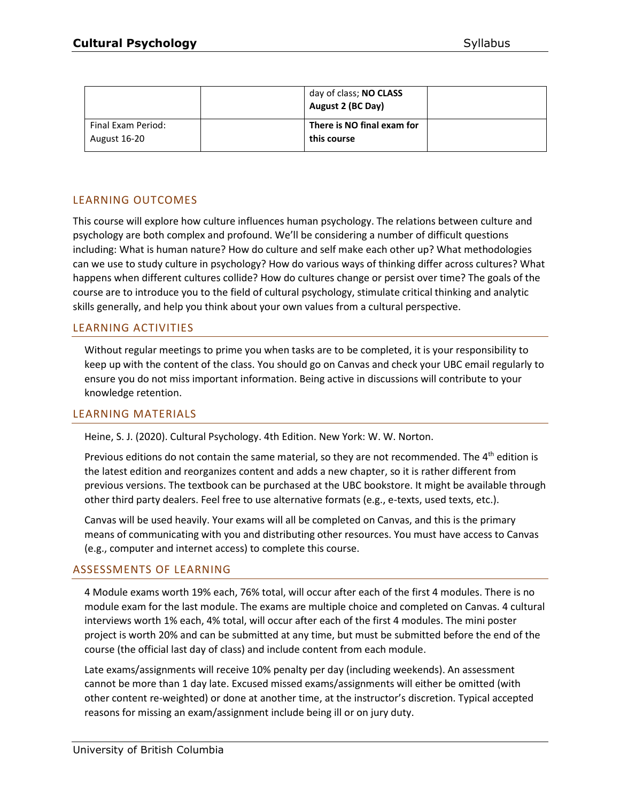|                                           | day of class; NO CLASS<br>August 2 (BC Day) |  |
|-------------------------------------------|---------------------------------------------|--|
| Final Exam Period:<br><b>August 16-20</b> | There is NO final exam for<br>this course   |  |

# LEARNING OUTCOMES

This course will explore how culture influences human psychology. The relations between culture and psychology are both complex and profound. We'll be considering a number of difficult questions including: What is human nature? How do culture and self make each other up? What methodologies can we use to study culture in psychology? How do various ways of thinking differ across cultures? What happens when different cultures collide? How do cultures change or persist over time? The goals of the course are to introduce you to the field of cultural psychology, stimulate critical thinking and analytic skills generally, and help you think about your own values from a cultural perspective.

# LEARNING ACTIVITIES

Without regular meetings to prime you when tasks are to be completed, it is your responsibility to keep up with the content of the class. You should go on Canvas and check your UBC email regularly to ensure you do not miss important information. Being active in discussions will contribute to your knowledge retention.

## LEARNING MATERIALS

Heine, S. J. (2020). Cultural Psychology. 4th Edition. New York: W. W. Norton.

Previous editions do not contain the same material, so they are not recommended. The  $4<sup>th</sup>$  edition is the latest edition and reorganizes content and adds a new chapter, so it is rather different from previous versions. The textbook can be purchased at the UBC bookstore. It might be available through other third party dealers. Feel free to use alternative formats (e.g., e-texts, used texts, etc.).

Canvas will be used heavily. Your exams will all be completed on Canvas, and this is the primary means of communicating with you and distributing other resources. You must have access to Canvas (e.g., computer and internet access) to complete this course.

## ASSESSMENTS OF LEARNING

4 Module exams worth 19% each, 76% total, will occur after each of the first 4 modules. There is no module exam for the last module. The exams are multiple choice and completed on Canvas. 4 cultural interviews worth 1% each, 4% total, will occur after each of the first 4 modules. The mini poster project is worth 20% and can be submitted at any time, but must be submitted before the end of the course (the official last day of class) and include content from each module.

Late exams/assignments will receive 10% penalty per day (including weekends). An assessment cannot be more than 1 day late. Excused missed exams/assignments will either be omitted (with other content re-weighted) or done at another time, at the instructor's discretion. Typical accepted reasons for missing an exam/assignment include being ill or on jury duty.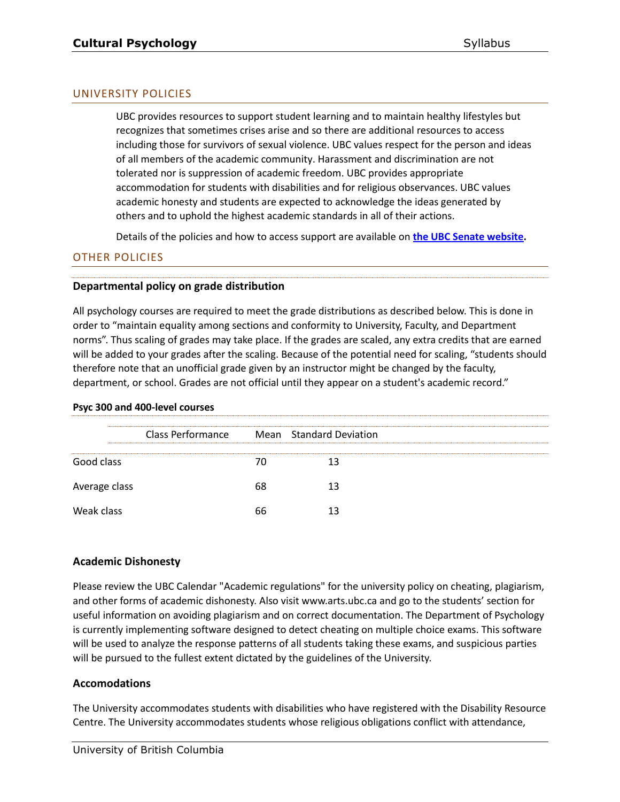# UNIVERSITY POLICIES

UBC provides resources to support student learning and to maintain healthy lifestyles but recognizes that sometimes crises arise and so there are additional resources to access including those for survivors of sexual violence. UBC values respect for the person and ideas of all members of the academic community. Harassment and discrimination are not tolerated nor is suppression of academic freedom. UBC provides appropriate accommodation for students with disabilities and for religious observances. UBC values academic honesty and students are expected to acknowledge the ideas generated by others and to uphold the highest academic standards in all of their actions.

Details of the policies and how to access support are available on **[the UBC Senate website.](https://senate.ubc.ca/policies-resources-support-student-success)**

# OTHER POLICIES

## **Departmental policy on grade distribution**

All psychology courses are required to meet the grade distributions as described below. This is done in order to "maintain equality among sections and conformity to University, Faculty, and Department norms". Thus scaling of grades may take place. If the grades are scaled, any extra credits that are earned will be added to your grades after the scaling. Because of the potential need for scaling, "students should therefore note that an unofficial grade given by an instructor might be changed by the faculty, department, or school. Grades are not official until they appear on a student's academic record."

#### **Psyc 300 and 400-level courses**

|               | Class Performance |    | Mean Standard Deviation |  |
|---------------|-------------------|----|-------------------------|--|
| Good class    |                   |    |                         |  |
| Average class |                   | 68 |                         |  |
| Weak class    |                   | 66 |                         |  |

## **Academic Dishonesty**

Please review the UBC Calendar "Academic regulations" for the university policy on cheating, plagiarism, and other forms of academic dishonesty. Also visit www.arts.ubc.ca and go to the students' section for useful information on avoiding plagiarism and on correct documentation. The Department of Psychology is currently implementing software designed to detect cheating on multiple choice exams. This software will be used to analyze the response patterns of all students taking these exams, and suspicious parties will be pursued to the fullest extent dictated by the guidelines of the University.

## **Accomodations**

The University accommodates students with disabilities who have registered with the Disability Resource Centre. The University accommodates students whose religious obligations conflict with attendance,